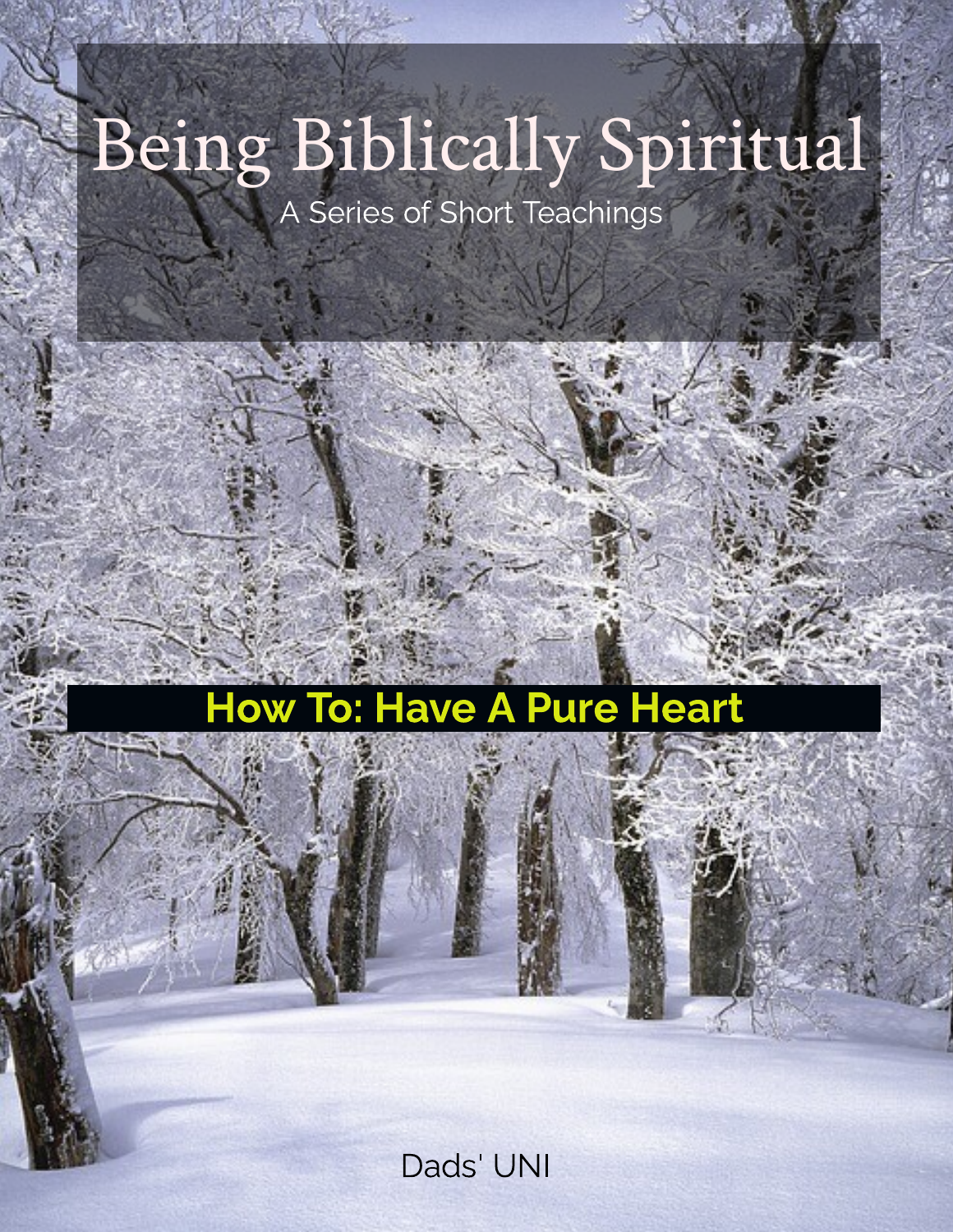# Being Biblically Spiritual

A Series of Short Teachings

## How To: Have A Pure Heart

Dads' UNI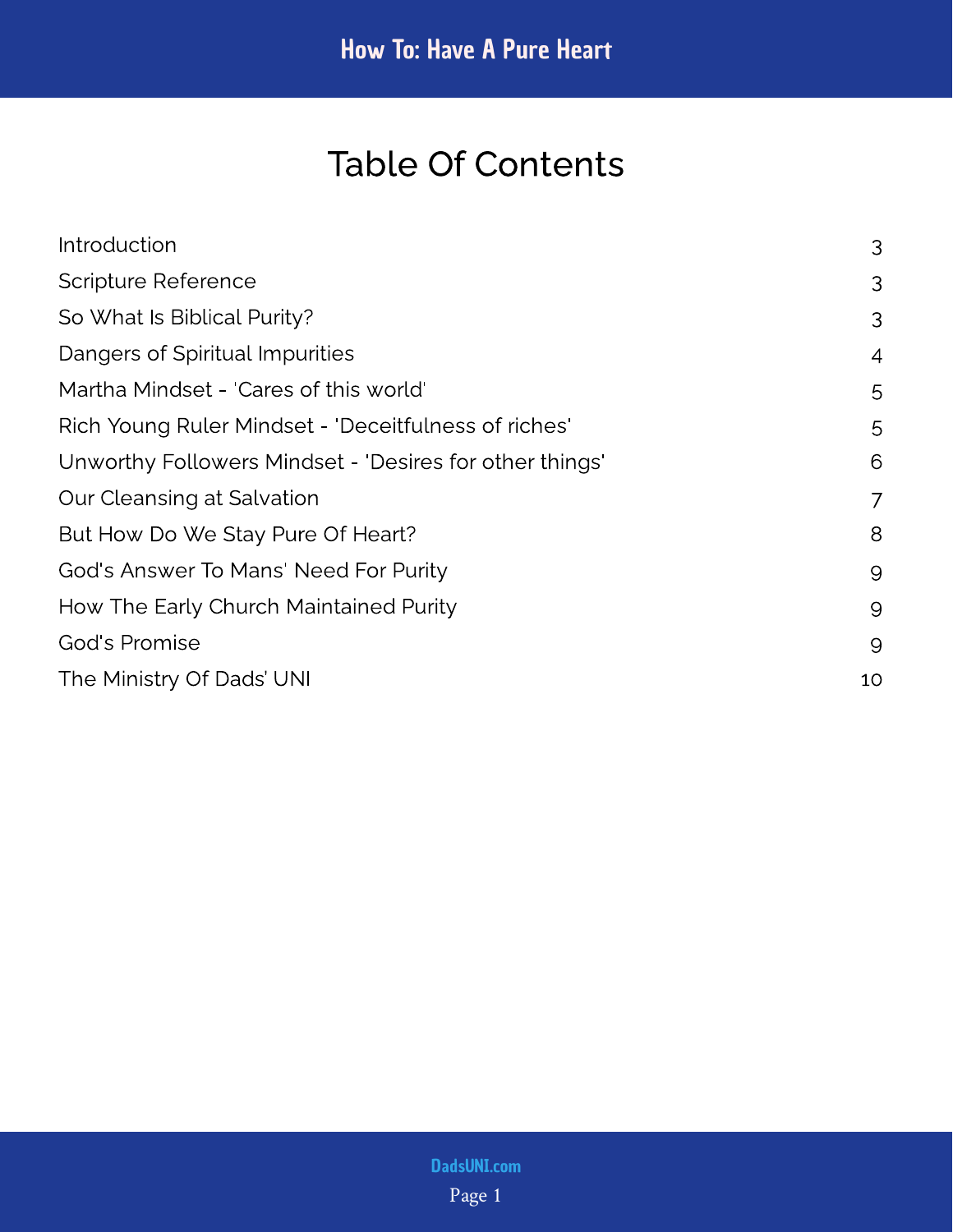## Table Of Contents

| Introduction                                            | 3              |
|---------------------------------------------------------|----------------|
| <b>Scripture Reference</b>                              |                |
| So What Is Biblical Purity?                             | 3              |
| Dangers of Spiritual Impurities                         | $\overline{4}$ |
| Martha Mindset - 'Cares of this world'                  | 5              |
| Rich Young Ruler Mindset - 'Deceitfulness of riches'    | 5              |
| Unworthy Followers Mindset - 'Desires for other things' | 6              |
| Our Cleansing at Salvation                              | 7              |
| But How Do We Stay Pure Of Heart?                       | 8              |
| God's Answer To Mans' Need For Purity                   | 9              |
| How The Early Church Maintained Purity                  | 9              |
| God's Promise                                           | 9              |
| The Ministry Of Dads' UNI                               | 10             |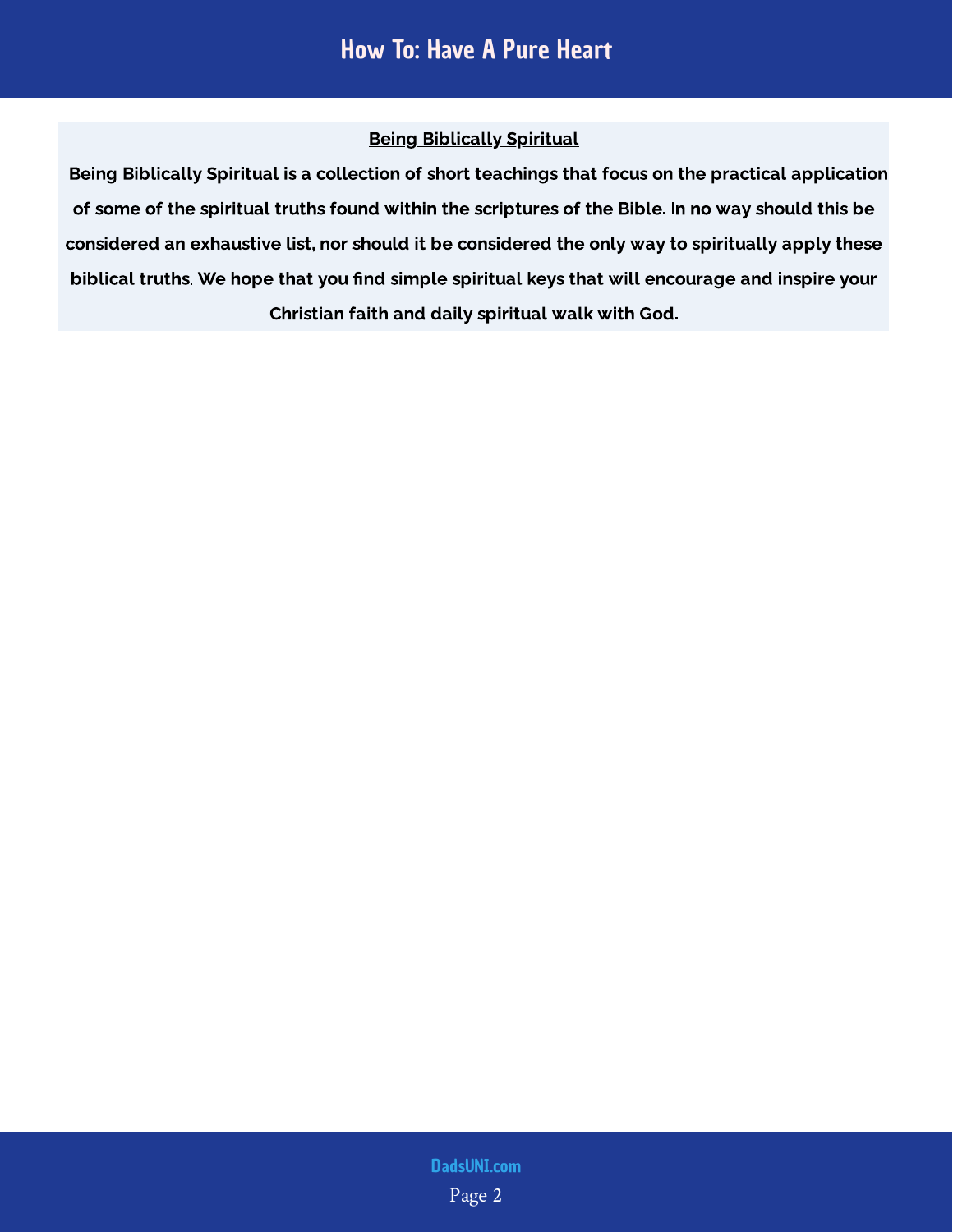#### Being Biblically Spiritual

 Being Biblically Spiritual is a collection of short teachings that focus on the practical application of some of the spiritual truths found within the scriptures of the Bible. In no way should this be considered an exhaustive list, nor should it be considered the only way to spiritually apply these biblical truths. We hope that you find simple spiritual keys that will encourage and inspire your Christian faith and daily spiritual walk with God.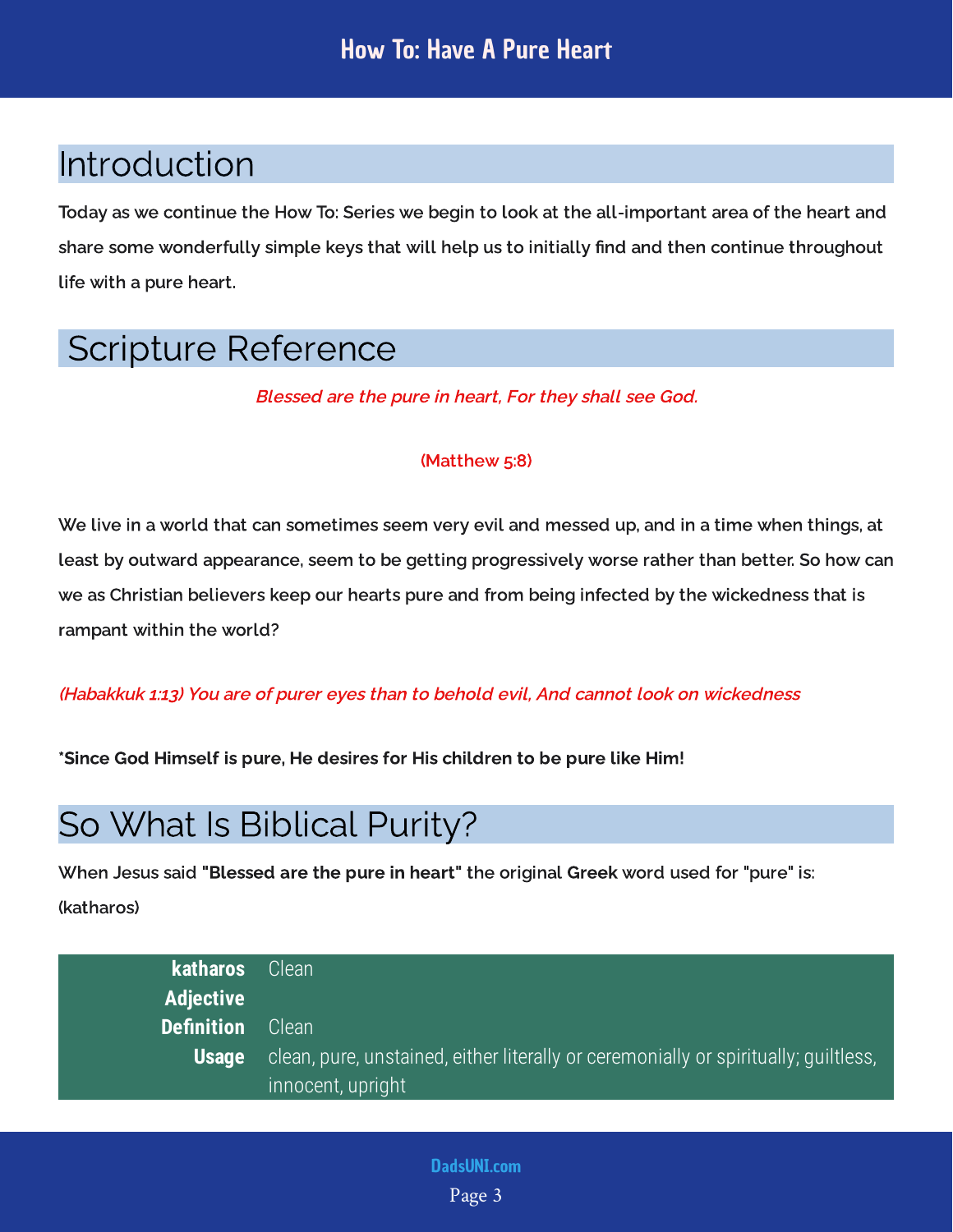## <span id="page-3-0"></span>Introduction

Today as we continue the How To: Series we begin to look at the all-important area of the heart and share some wonderfully simple keys that will help us to initially find and then continue throughout life with a pure heart.

## <span id="page-3-1"></span>Scripture Reference

Blessed are the pure in heart, For they shall see God.

#### (Matthew 5:8)

We live in a world that can sometimes seem very evil and messed up, and in a time when things, at least by outward appearance, seem to be getting progressively worse rather than better. So how can we as Christian believers keep our hearts pure and from being infected by the wickedness that is rampant within the world?

#### (Habakkuk 1:13) You are of purer eyes than to behold evil, And cannot look on wickedness

\*Since God Himself is pure, He desires for His children to be pure like Him!

## <span id="page-3-2"></span>So What Is Biblical Purity?

When Jesus said "Blessed are the pure in heart" the original Greek word used for "pure" is: (katharos)

| katharos Clean'   |                                                                                     |
|-------------------|-------------------------------------------------------------------------------------|
| <b>Adjective</b>  |                                                                                     |
| <b>Definition</b> | Clean                                                                               |
| <b>Usage</b>      | clean, pure, unstained, either literally or ceremonially or spiritually; quiltless, |
|                   | innocent, upright                                                                   |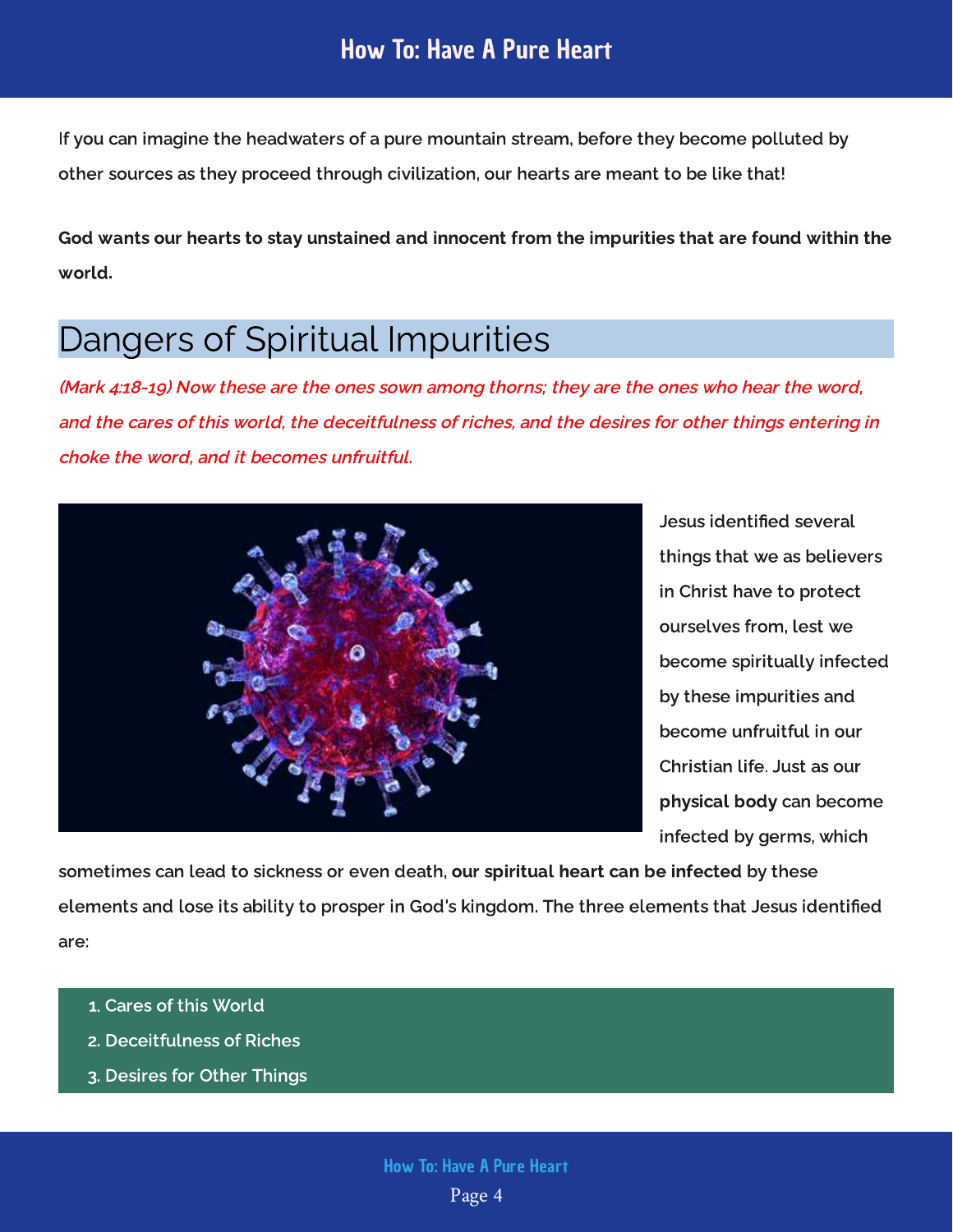If you can imagine the headwaters of a pure mountain stream, before they become polluted by other sources as they proceed through civilization, our hearts are meant to be like that!

God wants our hearts to stay unstained and innocent from the impurities that are found within the world.

## <span id="page-4-0"></span>Dangers of Spiritual Impurities

(Mark 4:18-19) Now these are the ones sown among thorns; they are the ones who hear the word, and the cares of this world, the deceitfulness of riches, and the desires for other things entering in choke the word, and it becomes unfruitful.



Jesus identified several things that we as believers in Christ have to protect ourselves from, lest we become spiritually infected by these impurities and become unfruitful in our Christian life. Just as our physical body can become infected by germs, which

sometimes can lead to sickness or even death, <mark>our spiritual heart can be infected</mark> by these elements and lose its ability to prosper in God's kingdom. The three elements that Jesus identified are:

- 1. Cares of this World
- 2. Deceitfulness of Riches
- 3. Desires for Other Things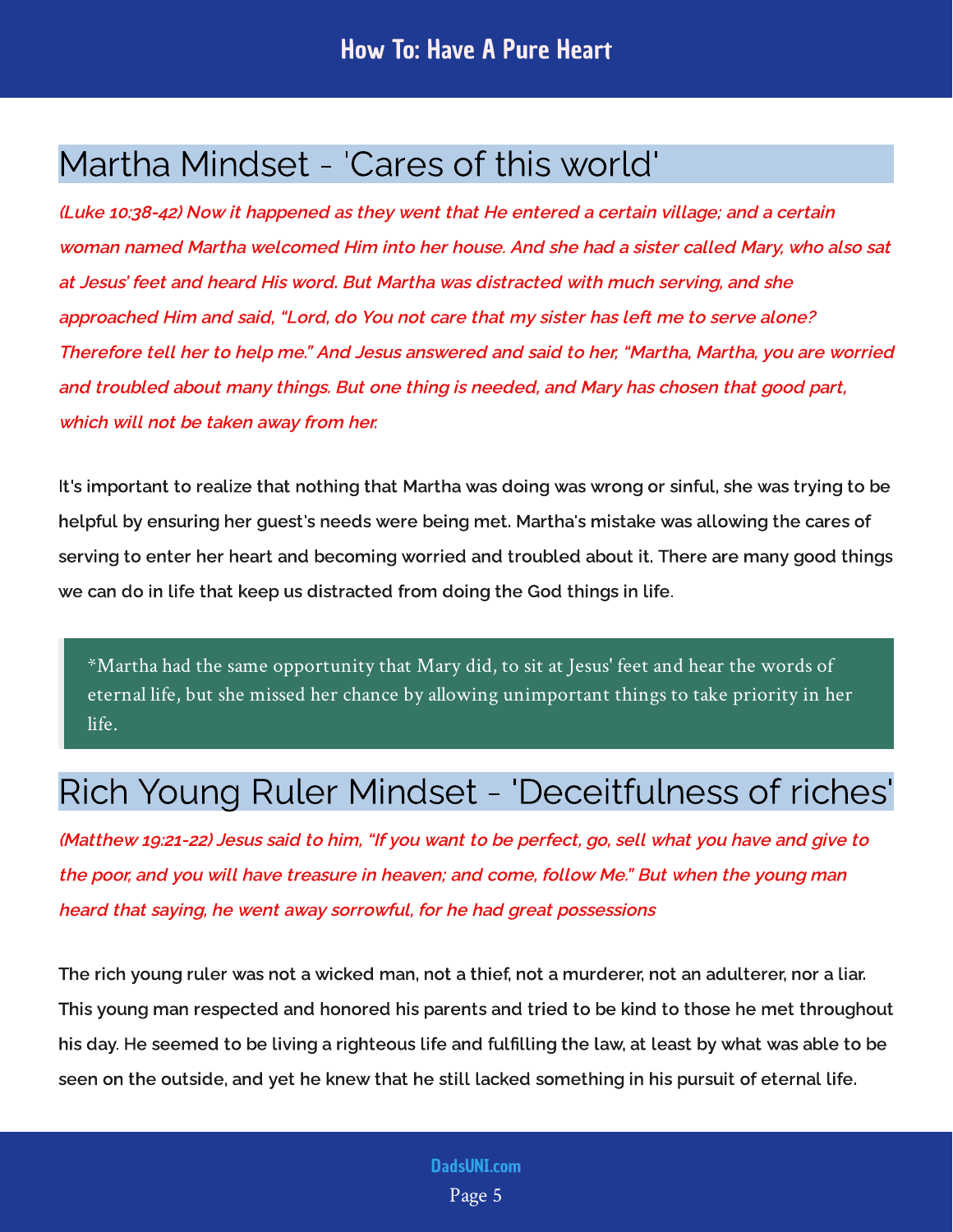## <span id="page-5-0"></span>Martha Mindset - 'Cares of this world'

(Luke 10:38-42) Now it happened as they went that He entered a certain village; and a certain woman named Martha welcomed Him into her house. And she had a sister called Mary, who also sat at Jesus' feet and heard His word. But Martha was distracted with much serving, and she approached Him and said, "Lord, do You not care that my sister has left me to serve alone? Therefore tell her to help me." And Jesus answered and said to her, "Martha, Martha, you are worried and troubled about many things. But one thing is needed, and Mary has chosen that good part, which will not be taken away from her.

It's important to realize that nothing that Martha was doing was wrong or sinful, she was trying to be helpful by ensuring her guest's needs were being met. Martha's mistake was allowing the cares of serving to enter her heart and becoming worried and troubled about it. There are many good things we can do in life that keep us distracted from doing the God things in life.

\*Martha had the same opportunity that Mary did, to sit at Jesus' feet and hear the words of eternal life, but she missed her chance by allowing unimportant things to take priority in her life.

## <span id="page-5-1"></span>Rich Young Ruler Mindset - 'Deceitfulness of riches'

(Matthew 19:21-22) Jesus said to him, "If you want to be perfect, go, sell what you have and give to the poor, and you will have treasure in heaven; and come, follow Me." But when the young man heard that saying, he went away sorrowful, for he had great possessions

The rich young ruler was not a wicked man, not a thief, not a murderer, not an adulterer, nor a liar. This young man respected and honored his parents and tried to be kind to those he met throughout his day. He seemed to be living a righteous life and fulfilling the law, at least by what was able to be seen on the outside, and yet he knew that he still lacked something in his pursuit of eternal life.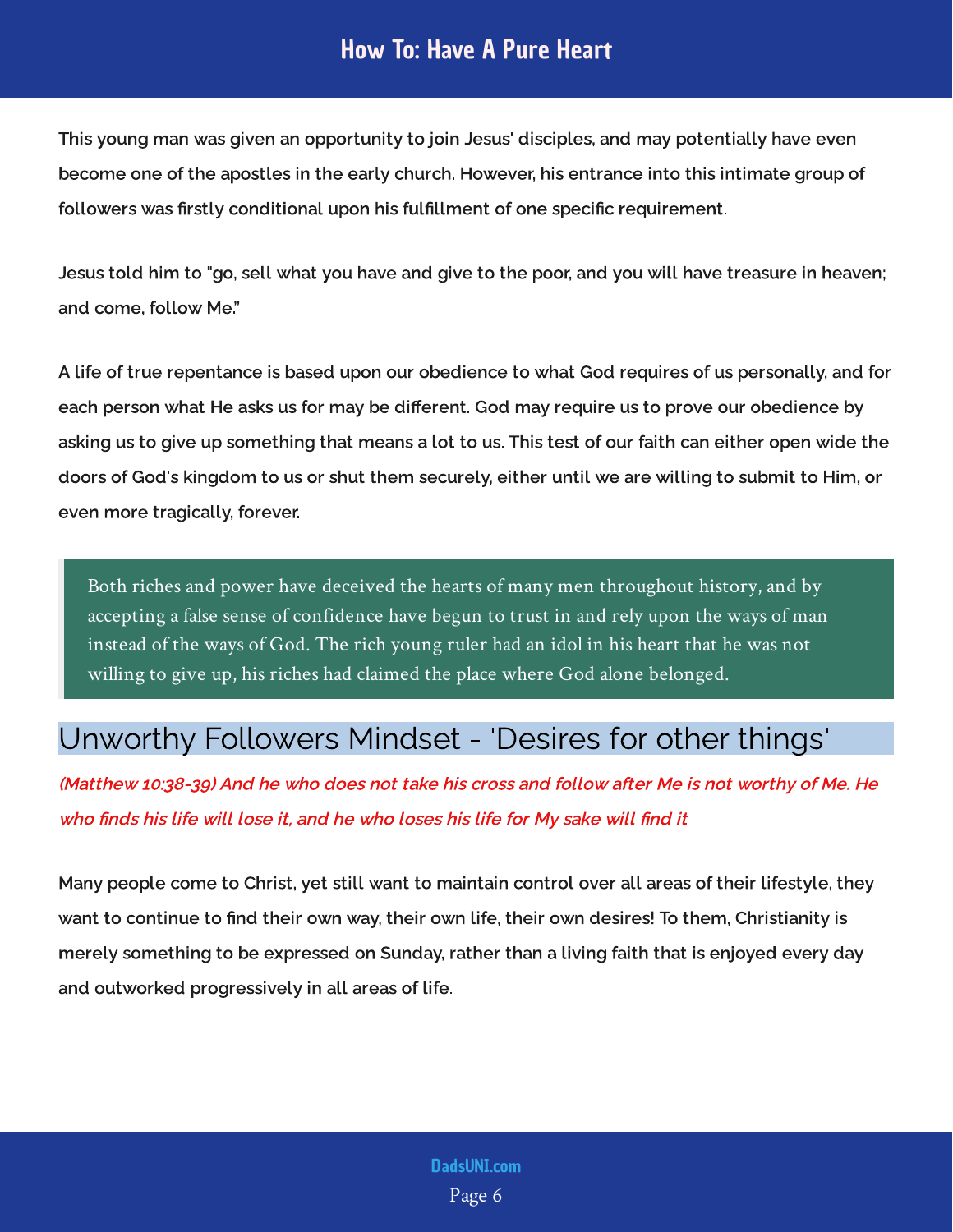#### How To: Have A Pure Heart

This young man was given an opportunity to join Jesus' disciples, and may potentially have even become one of the apostles in the early church. However, his entrance into this intimate group of followers was rstly conditional upon his fulllment of one specic requirement.

Jesus told him to "go, sell what you have and give to the poor, and you will have treasure in heaven; and come, follow Me.

A life of true repentance is based upon our obedience to what God requires of us personally, and for each person what He asks us for may be different. God may require us to prove our obedience by asking us to give up something that means a lot to us. This test of our faith can either open wide the doors of God's kingdom to us or shut them securely, either until we are willing to submit to Him, or even more tragically, forever.

Both riches and power have deceived the hearts of many men throughout history, and by accepting a false sense of confidence have begun to trust in and rely upon the ways of man instead of the ways of God. The rich young ruler had an idol in his heart that he was not willing to give up, his riches had claimed the place where God alone belonged.

#### <span id="page-6-0"></span>Unworthy Followers Mindset - 'Desires for other things'

(Matthew 10:38-39) And he who does not take his cross and follow after Me is not worthy of Me. He who finds his life will lose it, and he who loses his life for My sake will find it

Many people come to Christ, yet still want to maintain control over all areas of their lifestyle, they want to continue to find their own way, their own life, their own desires! To them, Christianity is merely something to be expressed on Sunday, rather than a living faith that is enjoyed every day and outworked progressively in all areas of life.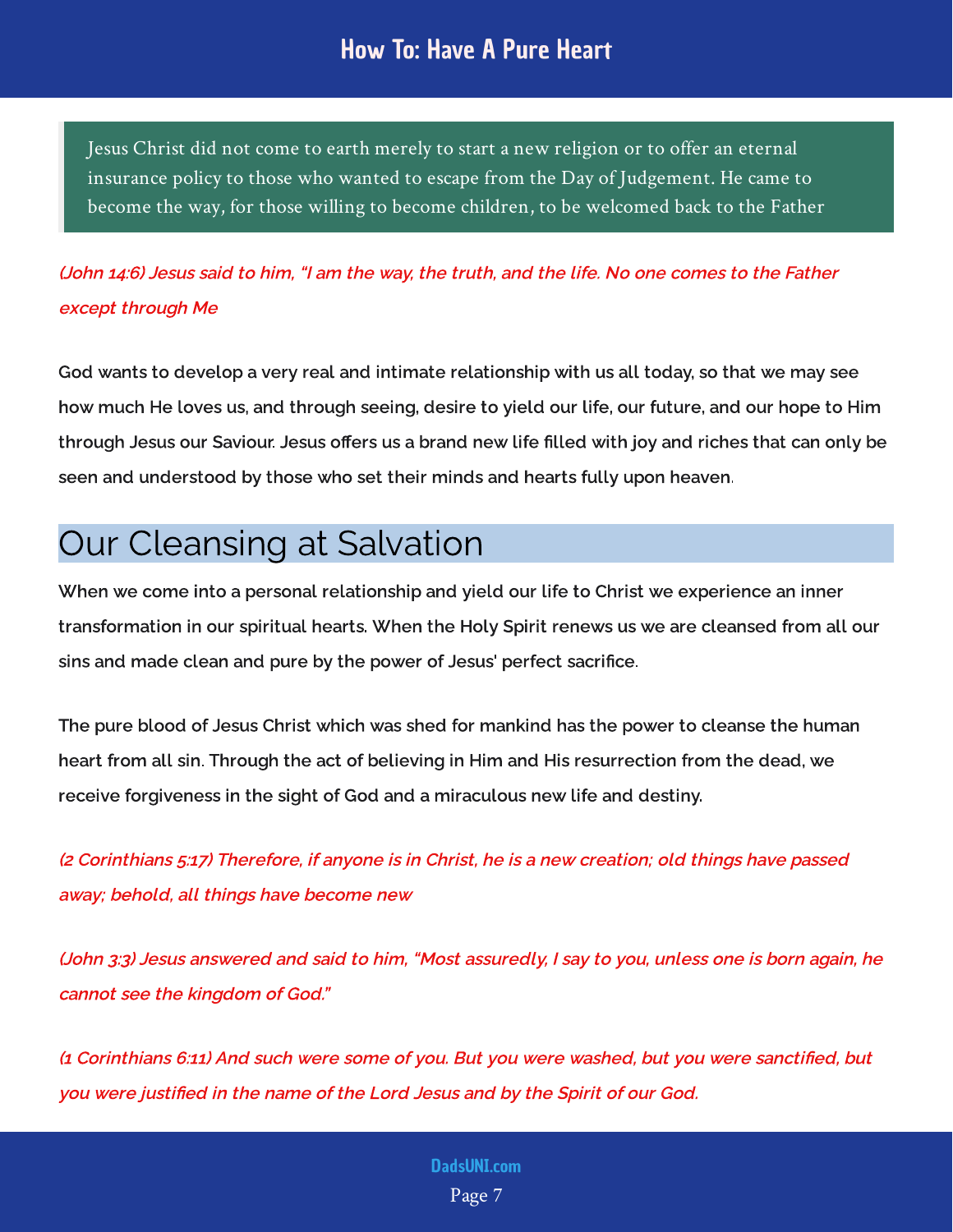#### How To: Have A Pure Heart

Jesus Christ did not come to earth merely to start a new religion or to offer an eternal insurance policy to those who wanted to escape from the Day of Judgement. He came to become the way, for those willing to become children, to be welcomed back to the Father

#### (John 14:6) Jesus said to him, "I am the way, the truth, and the life. No one comes to the Father except through Me

God wants to develop a very real and intimate relationship with us all today, so that we may see how much He loves us, and through seeing, desire to yield our life, our future, and our hope to Him through Jesus our Saviour. Jesus offers us a brand new life filled with joy and riches that can only be seen and understood by those who set their minds and hearts fully upon heaven.

## <span id="page-7-0"></span>Our Cleansing at Salvation

When we come into a personal relationship and yield our life to Christ we experience an inner transformation in our spiritual hearts. When the Holy Spirit renews us we are cleansed from all our sins and made clean and pure by the power of Jesus' perfect sacrifice.

The pure blood of Jesus Christ which was shed for mankind has the power to cleanse the human heart from all sin. Through the act of believing in Him and His resurrection from the dead, we receive forgiveness in the sight of God and a miraculous new life and destiny.

(2 Corinthians 5:17) Therefore, if anyone is in Christ, he is a new creation; old things have passed away; behold, all things have become new

(John 3:3) Jesus answered and said to him, "Most assuredly, I say to you, unless one is born again, he cannot see the kingdom of God."

(1 Corinthians 6:11) And such were some of you. But you were washed, but you were sanctified, but you were justified in the name of the Lord Jesus and by the Spirit of our God.

#### Page 7 [DadsUNI.com](https://www.dadsuni.com/)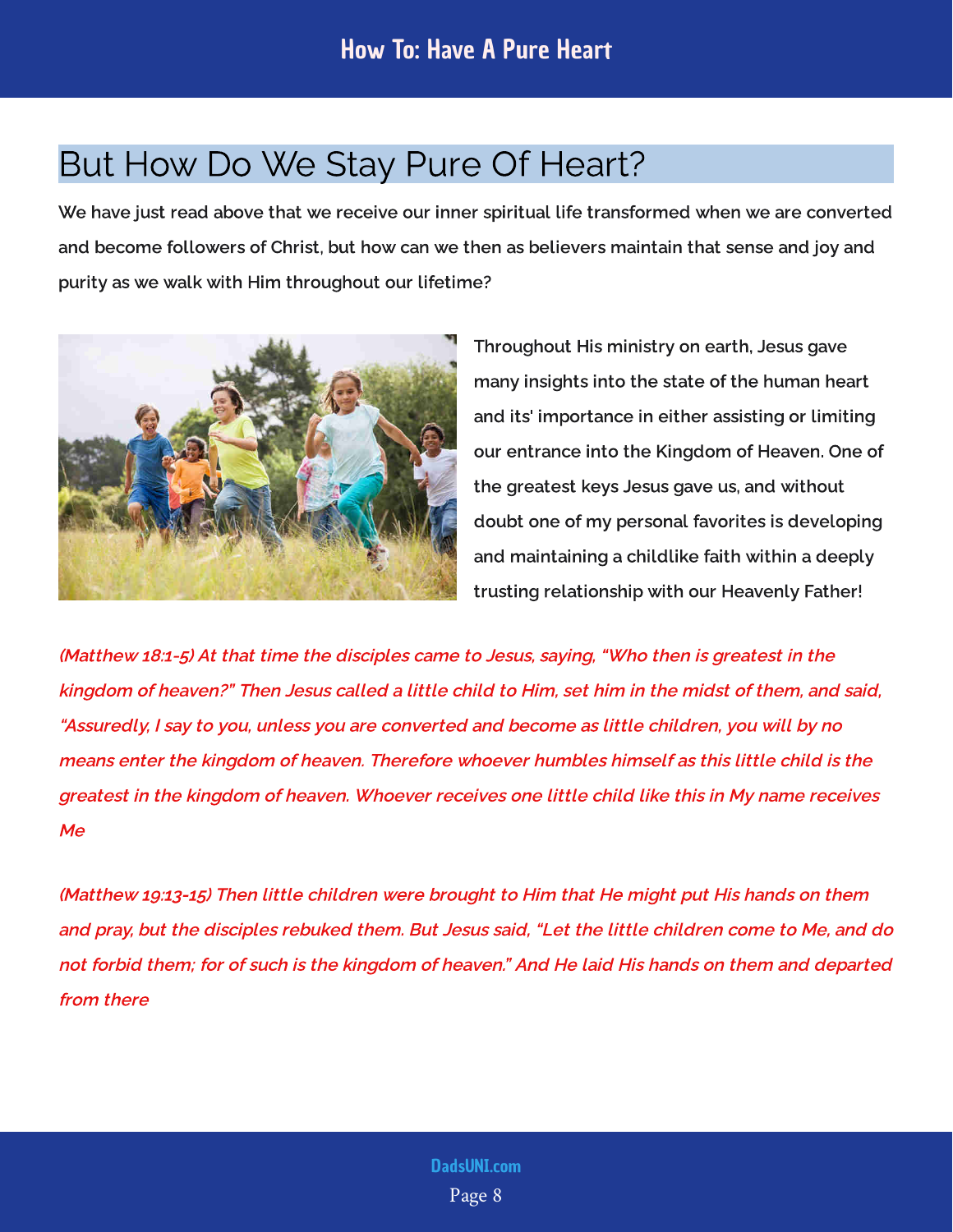## <span id="page-8-0"></span>But How Do We Stay Pure Of Heart?

We have just read above that we receive our inner spiritual life transformed when we are converted and become followers of Christ, but how can we then as believers maintain that sense and joy and purity as we walk with Him throughout our lifetime?



Throughout His ministry on earth, Jesus gave many insights into the state of the human heart and its' importance in either assisting or limiting our entrance into the Kingdom of Heaven. One of the greatest keys Jesus gave us, and without doubt one of my personal favorites is developing and maintaining a childlike faith within a deeply trusting relationship with our Heavenly Father!

(Matthew 18:1-5) At that time the disciples came to Jesus, saying, "Who then is greatest in the kingdom of heaven?" Then Jesus called a little child to Him, set him in the midst of them, and said, "Assuredly, I say to you, unless you are converted and become as little children, you will by no means enter the kingdom of heaven. Therefore whoever humbles himself as this little child is the greatest in the kingdom of heaven. Whoever receives one little child like this in My name receives Me

(Matthew 19:13-15) Then little children were brought to Him that He might put His hands on them and pray, but the disciples rebuked them. But Jesus said, "Let the little children come to Me, and do not forbid them; for of such is the kingdom of heaven." And He laid His hands on them and departed from there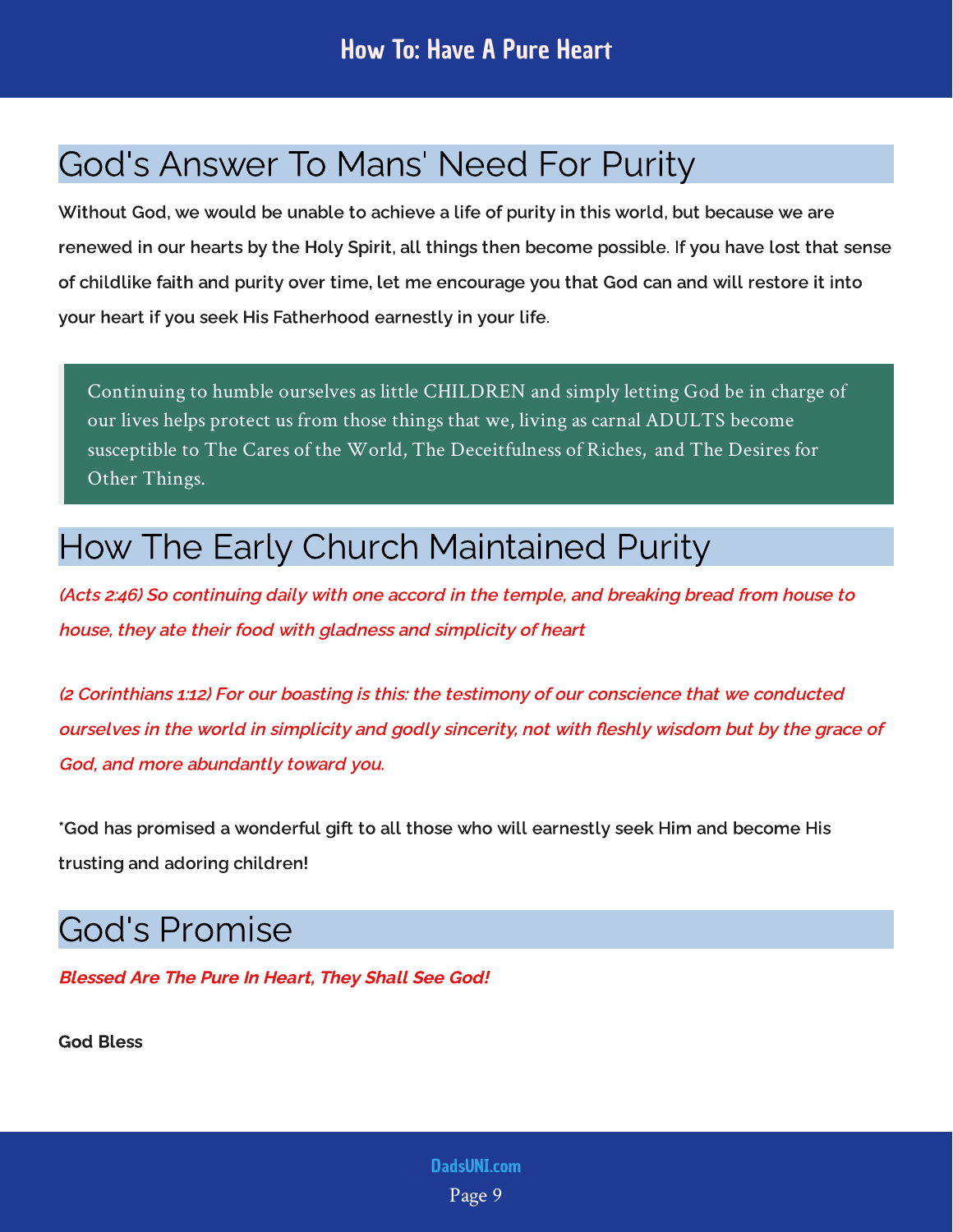## <span id="page-9-0"></span>God's Answer To Mans' Need For Purity

Without God, we would be unable to achieve a life of purity in this world, but because we are renewed in our hearts by the Holy Spirit, all things then become possible. If you have lost that sense of childlike faith and purity over time, let me encourage you that God can and will restore it into your heart if you seek His Fatherhood earnestly in your life.

Continuing to humble ourselves as little CHILDREN and simply letting God be in charge of our lives helps protect us from those things that we, living as carnal ADULTS become susceptible to The Cares of the World, The Deceitfulness of Riches, and The Desires for Other Things.

## <span id="page-9-1"></span>How The Early Church Maintained Purity

(Acts 2:46) So continuing daily with one accord in the temple, and breaking bread from house to house, they ate their food with gladness and simplicity of heart

(2 Corinthians 1:12) For our boasting is this: the testimony of our conscience that we conducted ourselves in the world in simplicity and godly sincerity, not with fleshly wisdom but by the grace of God, and more abundantly toward you.

\*God has promised a wonderful gift to all those who will earnestly seek Him and become His trusting and adoring children!

## <span id="page-9-2"></span>God's Promise

Blessed Are The Pure In Heart, They Shall See God!

God Bless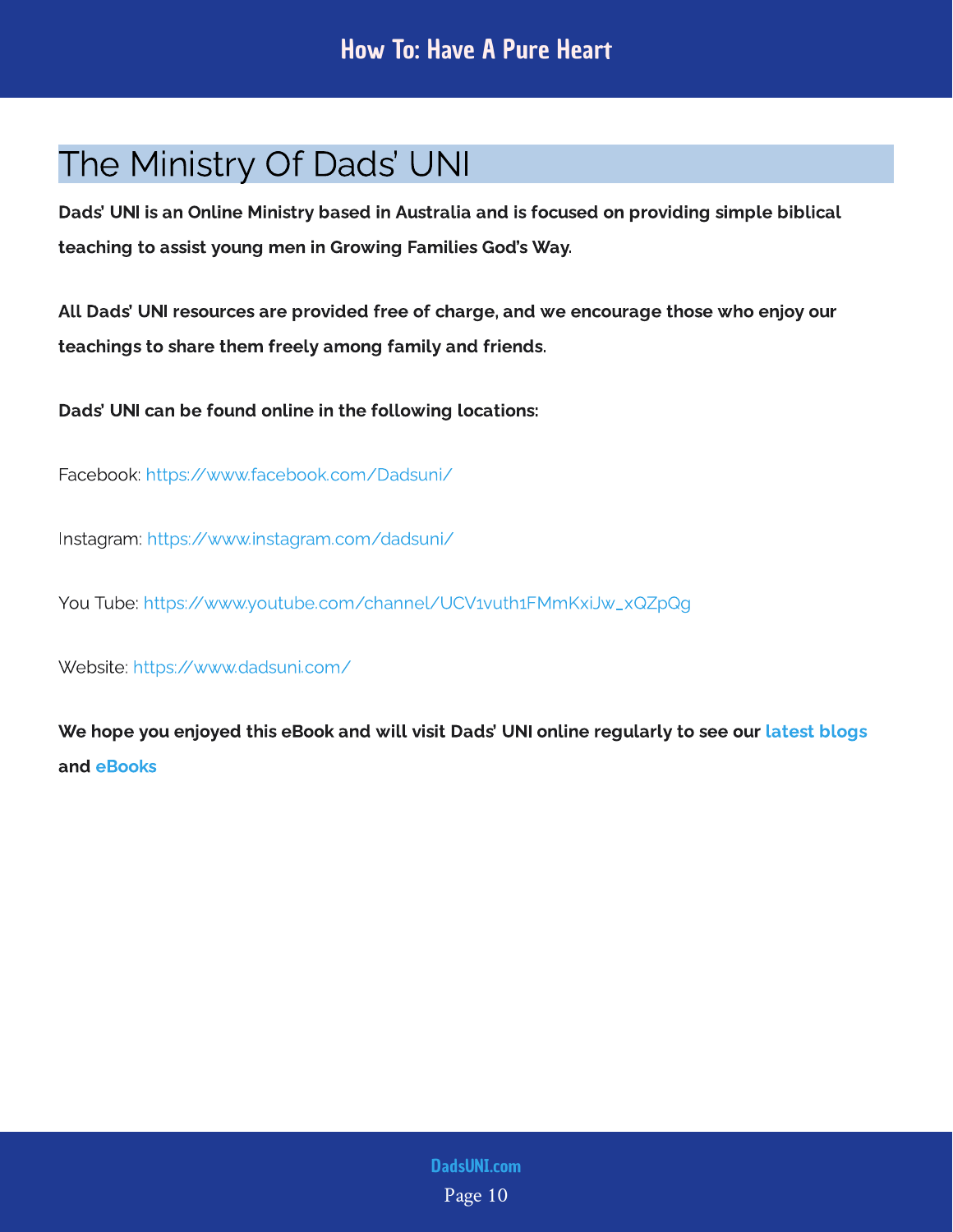## <span id="page-10-0"></span>The Ministry Of Dads' UNI

Dads' UNI is an Online Ministry based in Australia and is focused on providing simple biblical teaching to assist young men in Growing Families God's Way.

All Dads' UNI resources are provided free of charge, and we encourage those who enjoy our teachings to share them freely among family and friends.

Dads' UNI can be found online in the following locations:

Facebook: <https://www.facebook.com/Dadsuni/>

Instagram:<https://www.instagram.com/dadsuni/>

You Tube: [https://www.youtube.com/channel/UCV1vuth1FMmKxiJw\\_xQZpQg](https://www.youtube.com/channel/UCV1vuth1FMmKxiJw_xQZpQg)

Website: <https://www.dadsuni.com/>

We hope you enjoyed this eBook and will visit Dads' UNI online regularly to see our  [latest blogs](https://www.dadsuni.com/parenting-blog) and [eBooks](https://www.dadsuni.com/ebook-library)

> Page 10 [DadsUNI.com](https://www.dadsuni.com/)